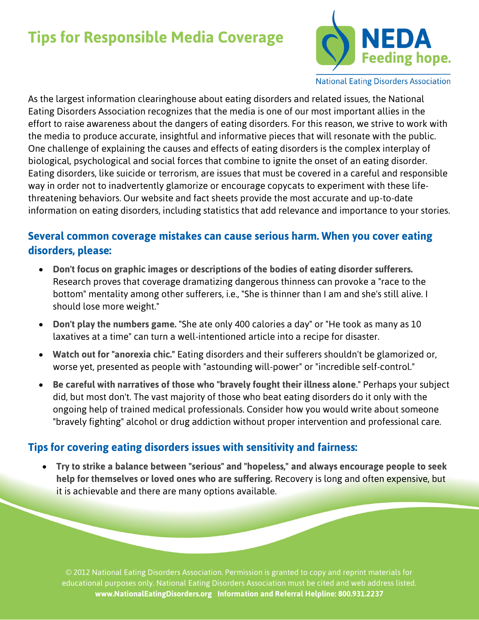## **Tips for Responsible Media Coverage**



**National Eating Disorders Association** 

As the largest information clearinghouse about eating disorders and related issues, the National Eating Disorders Association recognizes that the media is one of our most important allies in the effort to raise awareness about the dangers of eating disorders. For this reason, we strive to work with the media to produce accurate, insightful and informative pieces that will resonate with the public. One challenge of explaining the causes and effects of eating disorders is the complex interplay of biological, psychological and social forces that combine to ignite the onset of an eating disorder. Eating disorders, like suicide or terrorism, are issues that must be covered in a careful and responsible way in order not to inadvertently glamorize or encourage copycats to experiment with these lifethreatening behaviors. Our website and fact sheets provide the most accurate and up-to-date information on eating disorders, including statistics that add relevance and importance to your stories.

## **Several common coverage mistakes can cause serious harm. When you cover eating disorders, please:**

- **Don't focus on graphic images or descriptions of the bodies of eating disorder sufferers.**  Research proves that coverage dramatizing dangerous thinness can provoke a "race to the bottom" mentality among other sufferers, i.e., "She is thinner than I am and she's still alive. I should lose more weight."
- **Don't play the numbers game.** "She ate only 400 calories a day" or "He took as many as 10 laxatives at a time" can turn a well-intentioned article into a recipe for disaster.
- **Watch out for "anorexia chic."** Eating disorders and their sufferers shouldn't be glamorized or, worse yet, presented as people with "astounding will-power" or "incredible self-control."
- **Be careful with narratives of those who "bravely fought their illness alone**." Perhaps your subject did, but most don't. The vast majority of those who beat eating disorders do it only with the ongoing help of trained medical professionals. Consider how you would write about someone "bravely fighting" alcohol or drug addiction without proper intervention and professional care.

## **Tips for covering eating disorders issues with sensitivity and fairness:**

 **Try to strike a balance between "serious" and "hopeless," and always encourage people to seek help for themselves or loved ones who are suffering.** Recovery is long and often expensive, but it is achievable and there are many options available.

© 2012 National Eating Disorders Association. Permission is granted to copy and reprint materials for educational purposes only. National Eating Disorders Association must be cited and web address listed. **www.NationalEatingDisorders.org Information and Referral Helpline: 800.931.2237**